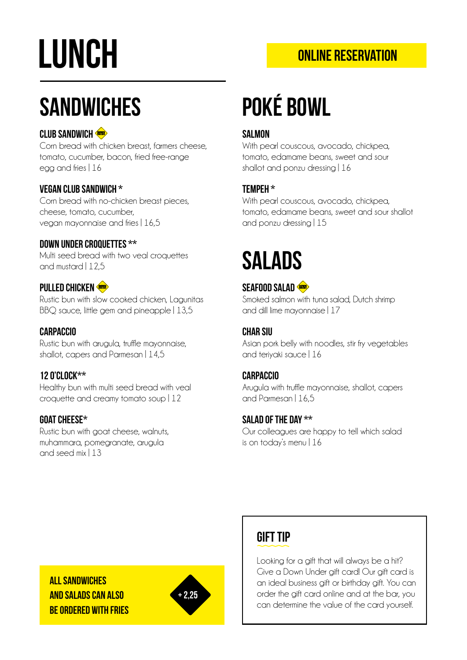# LUNCH ONLINE RESERVATION

### **SANDWICHES**

#### CI IIR SANDWICH

Corn bread with chicken breast, farmers cheese, tomato, cucumber, bacon, fried free-range egg and fries | 16

#### Vegan club sandwich \*

Corn bread with no-chicken breast pieces, cheese, tomato, cucumber, vegan mayonnaise and fries | 16,5

#### Down Under croquettes \*\*

Multi seed bread with two veal croquettes and mustard | 12,5

#### PULLED CHICKEN

Rustic bun with slow cooked chicken, Lagunitas BBQ sauce, little gem and pineapple | 13,5

#### **CARPACCIO**

Rustic bun with arugula, truffle mayonnaise, shallot, capers and Parmesan | 14.5

#### 12 o'clock\*\*

Healthy bun with multi seed bread with veal croquette and creamy tomato soup | 12

#### GOAT CHEESE $*$

Rustic bun with goat cheese, walnuts, muhammara, pomegranate, arugula and seed mix | 13

## POKÉ BOWL

#### **SAI MON**

With pearl couscous, avocado, chickpea, tomato, edamame beans, sweet and sour shallot and ponzu dressing | 16

#### Tempeh \*

With pearl couscous, avocado, chickpea, tomato, edamame beans, sweet and sour shallot and ponzu dressing | 15

### SALADS

#### **SEAFOOD SALAD**

Smoked salmon with tuna salad, Dutch shrimp and dill lime mayonnaise | 17

#### Char siu

Asian pork belly with noodles, stir fry vegetables and teriyaki sauce | 16

#### **CARPACCIO**

Arugula with truffle mayonnaise, shallot, capers and Parmesan | 16,5

#### SAI AD OF THE DAY  $**$

Our colleagues are happy to tell which salad is on today's menu | 16

#### All sandwiches and salads can also be ordered with fries



### Gift tip

Looking for a gift that will always be a hit? Give a Down Under gift card! Our gift card is an ideal business gift or birthday gift. You can order the gift card online and at the bar, you can determine the value of the card yourself.